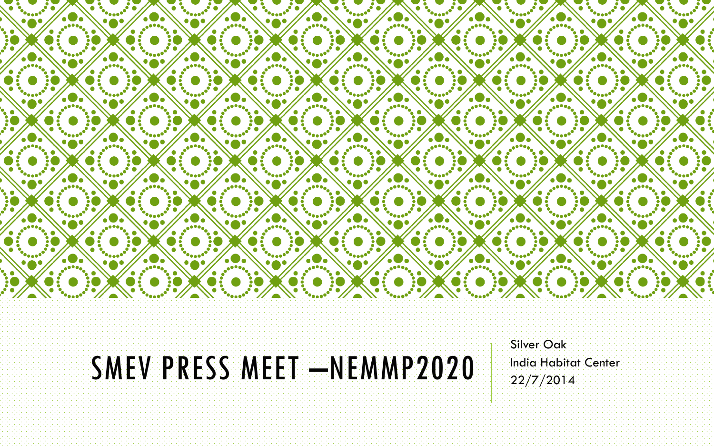

### SMEV PRESS MEET –NEMMP2020

Silver Oak India Habitat Center 22/7/2014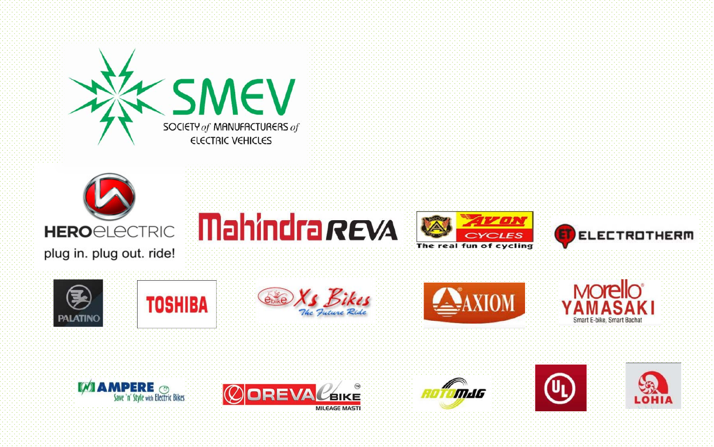



plug in. plug out. ride!





**e**bike



















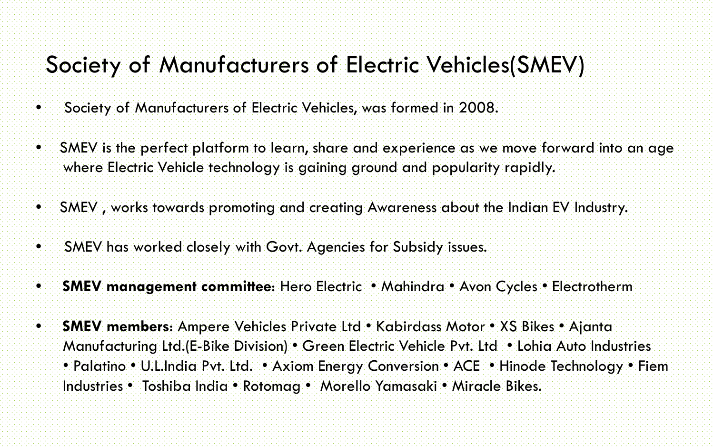### Society of Manufacturers of Electric Vehicles(SMEV)

- Society of Manufacturers of Electric Vehicles, was formed in 2008.
- SMEV is the perfect platform to learn, share and experience as we move forward into an age where Electric Vehicle technology is gaining ground and popularity rapidly.
- SMEV , works towards promoting and creating Awareness about the Indian EV Industry.
- SMEV has worked closely with Govt. Agencies for Subsidy issues.
- **SMEV management committee**: Hero Electric Mahindra Avon Cycles Electrotherm
- **SMEV members**: Ampere Vehicles Private Ltd Kabirdass Motor XS Bikes Ajanta Manufacturing Ltd.(E-Bike Division) • Green Electric Vehicle Pvt. Ltd • Lohia Auto Industries • Palatino • U.L.India Pvt. Ltd. • Axiom Energy Conversion • ACE • Hinode Technology • Fiem Industries • Toshiba India • Rotomag • Morello Yamasaki • Miracle Bikes.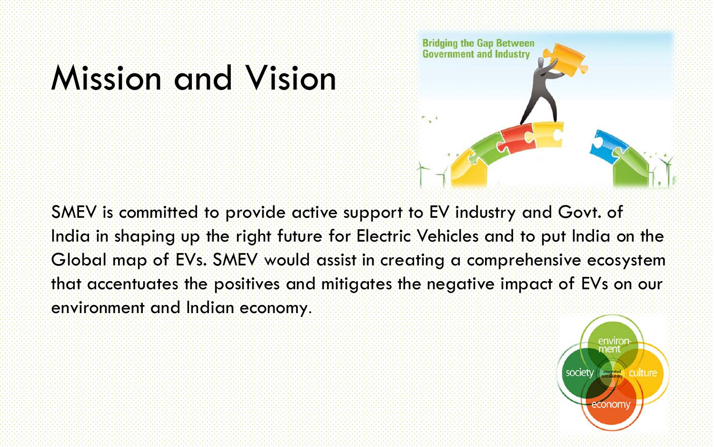## Mission and Vision



SMEV is committed to provide active support to EV industry and Govt. of India in shaping up the right future for Electric Vehicles and to put India on the Global map of EVs. SMEV would assist in creating a comprehensive ecosystem that accentuates the positives and mitigates the negative impact of EVs on our environment and Indian economy.

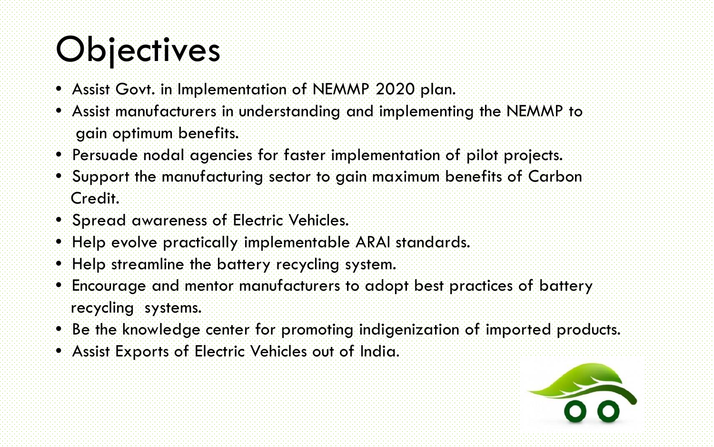# **Objectives**

- Assist Govt. in Implementation of NEMMP 2020 plan.
- Assist manufacturers in understanding and implementing the NEMMP to gain optimum benefits.
- Persuade nodal agencies for faster implementation of pilot projects.
- Support the manufacturing sector to gain maximum benefits of Carbon Credit.
- Spread awareness of Electric Vehicles.
- Help evolve practically implementable ARAI standards.
- Help streamline the battery recycling system.
- Encourage and mentor manufacturers to adopt best practices of battery recycling systems.
- Be the knowledge center for promoting indigenization of imported products.
- Assist Exports of Electric Vehicles out of India.

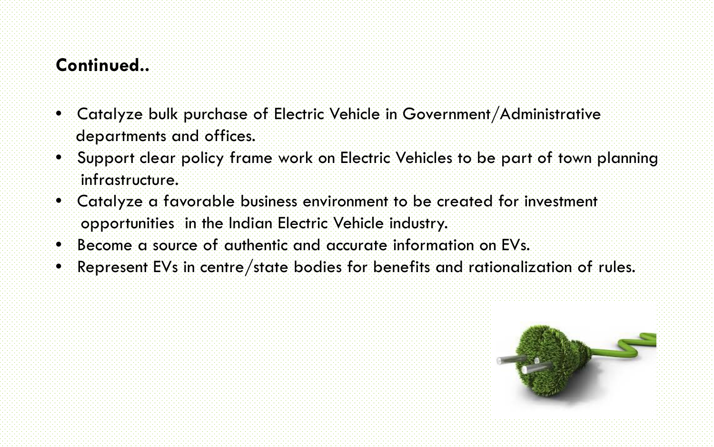#### **Continued..**

- Catalyze bulk purchase of Electric Vehicle in Government/Administrative departments and offices.
- Support clear policy frame work on Electric Vehicles to be part of town planning infrastructure.
- Catalyze a favorable business environment to be created for investment opportunities in the Indian Electric Vehicle industry.
- Become a source of authentic and accurate information on EVs.
- Represent EVs in centre/state bodies for benefits and rationalization of rules.

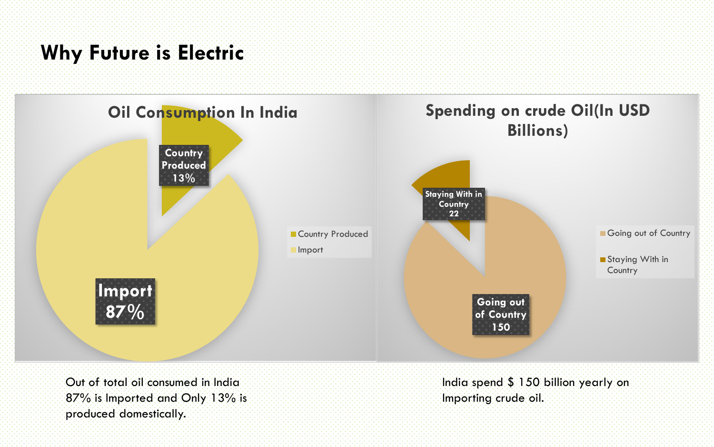#### **Why Future is Electric**

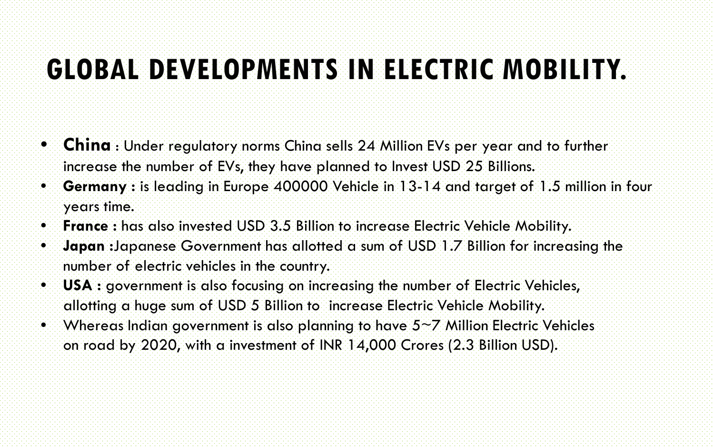### **GLOBAL DEVELOPMENTS IN ELECTRIC MOBILITY.**

- **China** : Under regulatory norms China sells 24 Million EVs per year and to further increase the number of EVs, they have planned to Invest USD 25 Billions.
- **Germany :** is leading in Europe 400000 Vehicle in 13-14 and target of 1.5 million in four years time.
- **France :** has also invested USD 3.5 Billion to increase Electric Vehicle Mobility.
- **Japan :**Japanese Government has allotted a sum of USD 1.7 Billion for increasing the number of electric vehicles in the country.
- **USA :** government is also focusing on increasing the number of Electric Vehicles, allotting a huge sum of USD 5 Billion to increase Electric Vehicle Mobility.
- Whereas Indian government is also planning to have  $5\neg Z$  Million Electric Vehicles on road by 2020, with a investment of INR 14,000 Crores (2.3 Billion USD).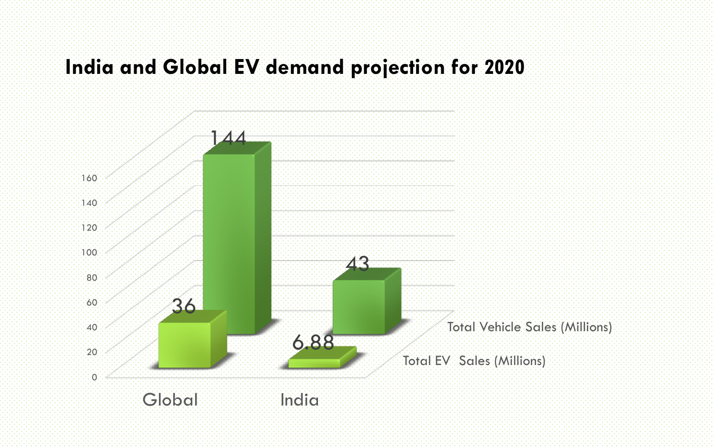#### **India and Global EV demand projection for 2020**

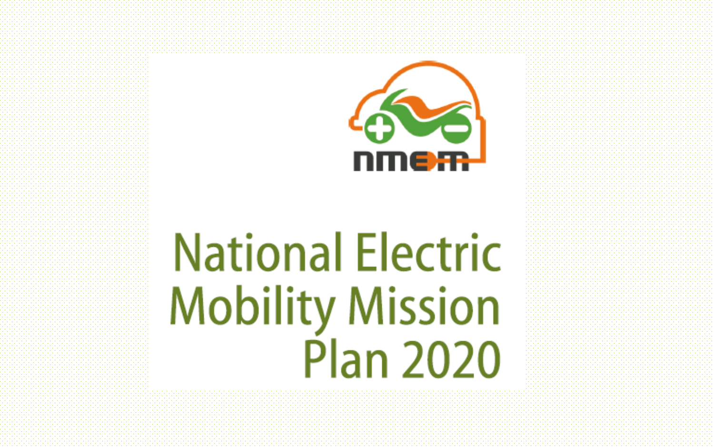

# **National Electric Mobility Mission Plan 2020**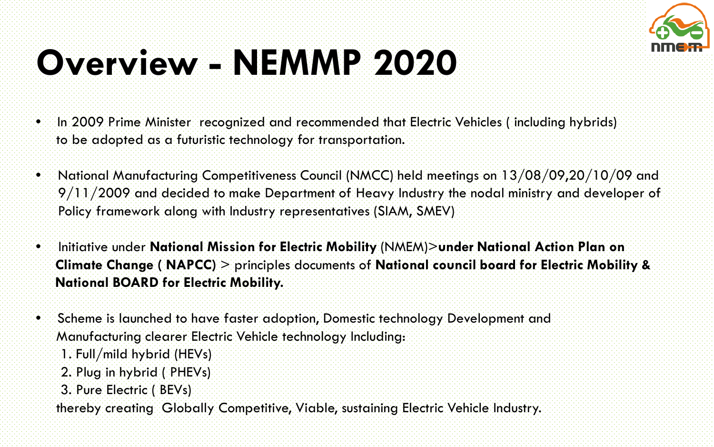

# **Overview - NEMMP 2020**

- In 2009 Prime Minister recognized and recommended that Electric Vehicles (including hybrids) to be adopted as a futuristic technology for transportation.
- National Manufacturing Competitiveness Council (NMCC) held meetings on 13/08/09,20/10/09 and 9/11/2009 and decided to make Department of Heavy Industry the nodal ministry and developer of Policy framework along with Industry representatives (SIAM, SMEV)
- Initiative under **National Mission for Electric Mobility** (NMEM)>**under National Action Plan on Climate Change ( NAPCC)** > principles documents of **National council board for Electric Mobility & National BOARD for Electric Mobility.**
- Scheme is launched to have faster adoption, Domestic technology Development and Manufacturing clearer Electric Vehicle technology Including:
	- 1. Full/mild hybrid (HEVs)
	- 2. Plug in hybrid ( PHEVs)
	- 3. Pure Electric ( BEVs)

thereby creating Globally Competitive, Viable, sustaining Electric Vehicle Industry.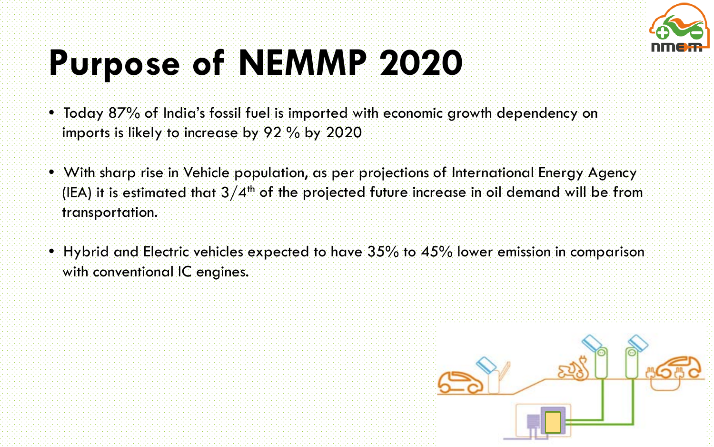

# **Purpose of NEMMP 2020**

- Today 87% of India's fossil fuel is imported with economic growth dependency on imports is likely to increase by 92 % by 2020
- With sharp rise in Vehicle population, as per projections of International Energy Agency (IEA) it is estimated that  $3/4<sup>th</sup>$  of the projected future increase in oil demand will be from transportation.
- Hybrid and Electric vehicles expected to have  $35\%$  to  $45\%$  lower emission in comparison with conventional IC engines.

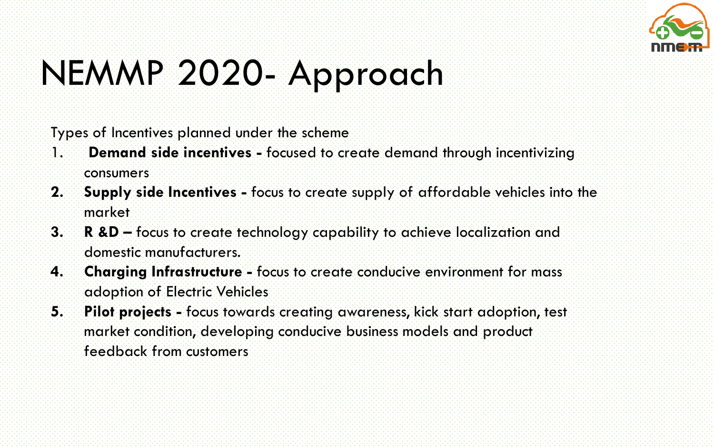

# NEMMP 2020- Approach

Types of Incentives planned under the scheme

- 1. **Demand side incentives -** focused to create demand through incentivizing consumers
- **2. Supply side Incentives -** focus to create supply of affordable vehicles into the market
- **3. R &D –** focus to create technology capability to achieve localization and domestic manufacturers.
- **4. Charging Infrastructure -** focus to create conducive environment for mass adoption of Electric Vehicles
- **5. Pilot projects -** focus towards creating awareness, kick start adoption, test market condition, developing conducive business models and product feedback from customers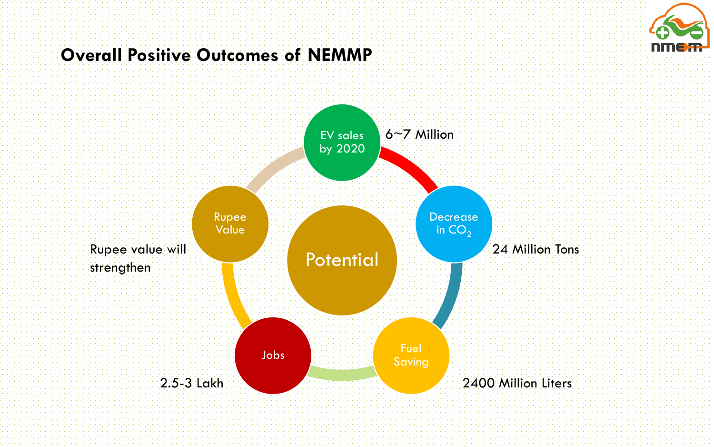

#### **Overall Positive Outcomes of NEMMP**

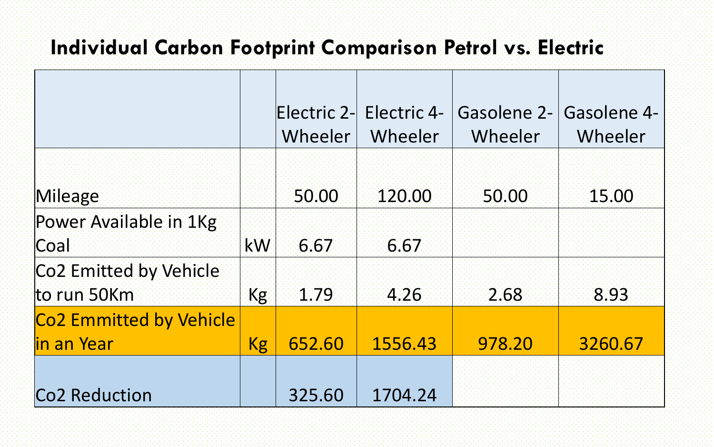### **Individual Carbon Footprint Comparison Petrol vs. Electric**

|                           |    | Wheeler | Electric 2- Electric 4-<br>Wheeler | <b>Gasolene 2-</b><br>Wheeler | Gasolene 4-<br>Wheeler |
|---------------------------|----|---------|------------------------------------|-------------------------------|------------------------|
|                           |    |         |                                    |                               |                        |
| Mileage                   |    | 50.00   | 120.00                             | 50.00                         | 15.00                  |
| Power Available in 1Kg    |    |         |                                    |                               |                        |
| Coal                      | kW | 6.67    | 6.67                               |                               |                        |
| Co2 Emitted by Vehicle    |    |         |                                    |                               |                        |
| to run 50Km               | Kg | 1.79    | 4.26                               | 2.68                          | 8.93                   |
| Co2 Emmitted by Vehicle   |    |         |                                    |                               |                        |
| l <mark>in an Year</mark> | Kg | 652.60  | 1556.43                            | 978.20                        | 3260.67                |
|                           |    |         |                                    |                               |                        |
| Co2 Reduction             |    | 325.60  | 1704.24                            |                               |                        |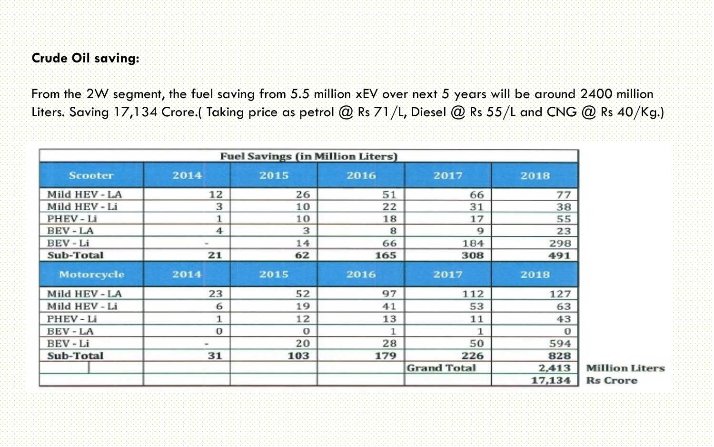#### **Crude Oil saving:**

From the 2W segment, the fuel saving from 5.5 million xEV over next 5 years will be around 2400 million Liters. Saving 17,134 Crore.( Taking price as petrol  $@$  Rs 71/L, Diesel  $@$  Rs 55/L and CNG  $@$  Rs 40/Kg.)

| <b>Fuel Savings (in Million Liters)</b> |                      |              |      |                    |             |  |  |
|-----------------------------------------|----------------------|--------------|------|--------------------|-------------|--|--|
| <b>Scooter</b>                          | 2014                 | 2015         | 2016 | 2017               | 2018        |  |  |
| Mild HEV - LA                           | 12                   | 26           | 51   | 66                 | 77          |  |  |
| Mild HEV - Li                           | 3                    | 10           | 22   | 31                 | 38          |  |  |
| PHEV-Li                                 | $\mathbf{1}$         | 10           | 18   | 17                 | 55          |  |  |
| <b>BEV-LA</b>                           | $\blacktriangleleft$ | 3            | 8    | 9                  | 23          |  |  |
| BEV-Li                                  | m.                   | 14           | 66   | 184                | 298         |  |  |
| <b>Sub-Total</b>                        | 21                   | 62           | 165  | 308                | 491         |  |  |
| <b>Motorcycle</b>                       | 2014                 | 2015         | 2016 | 2017               | 2018        |  |  |
| Mild HEV - LA                           | 23                   | 52           | 97   | 112                | 127         |  |  |
| Mild HEV - Li                           | 6                    | 19           | 41   | 53                 | 63          |  |  |
| PHEV-Li                                 | $\mathbf{1}$         | 12           | 13   | 11                 | 43          |  |  |
| <b>BEV-LA</b>                           | $\mathbf 0$          | $\mathbf{O}$ |      | $\mathbf{1}$       | $\mathbf 0$ |  |  |
| BEV-Li                                  |                      | 20           | 28   | 50                 | 594         |  |  |
| Sub-Total                               | 31                   | 103          | 179  | 226                | 828         |  |  |
|                                         |                      |              |      | <b>Grand Total</b> | 2,413       |  |  |
|                                         |                      |              |      |                    | 17,134      |  |  |

**Million Liters Rs** Crore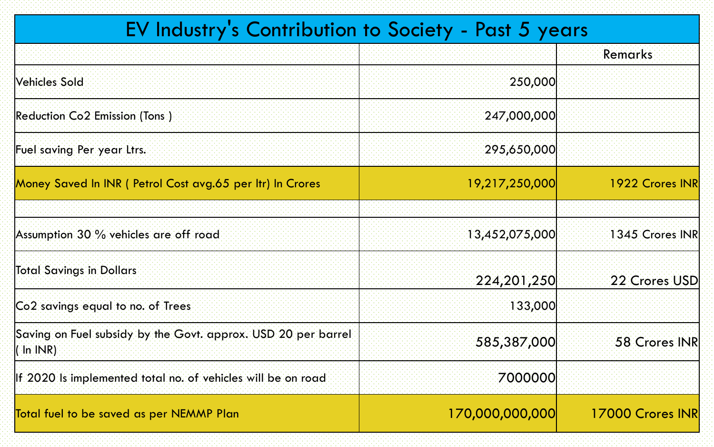### EV Industry's Contribution to Society - Past 5 years

|                                                                              |                 | Remarks          |
|------------------------------------------------------------------------------|-----------------|------------------|
| <b>Vehicles Sold</b>                                                         | 250,000         |                  |
| Reduction Co2 Emission (Tons.)                                               | 247,000,000     |                  |
| Fuel saving Per year Ltrs.                                                   | 295,650,000     |                  |
| Money Saved In INR ( Petrol Cost avg.65 per Itr) In Crores                   | 19,217,250,000  | 1922 Crores INR  |
|                                                                              |                 |                  |
| Assumption 30 % vehicles are off road                                        | 13,452,075,000  | 1345 Crores INR  |
| <b>Total Savings in Dollars</b>                                              | 224,201,250     | 22 Crores USD    |
| Co2 savings equal to no. of Trees                                            | 133,000         |                  |
| Saving on Fuel subsidy by the Govt. approx. USD 20 per barrel<br>$(\ln 1NR)$ | 585,387,000     | 58 Crores INR    |
| If 2020 is implemented total no. of vehicles will be on road                 | 7000000         |                  |
| Total fuel to be saved as per NEMMP Plan                                     | 170,000,000,000 | 17000 Crores INR |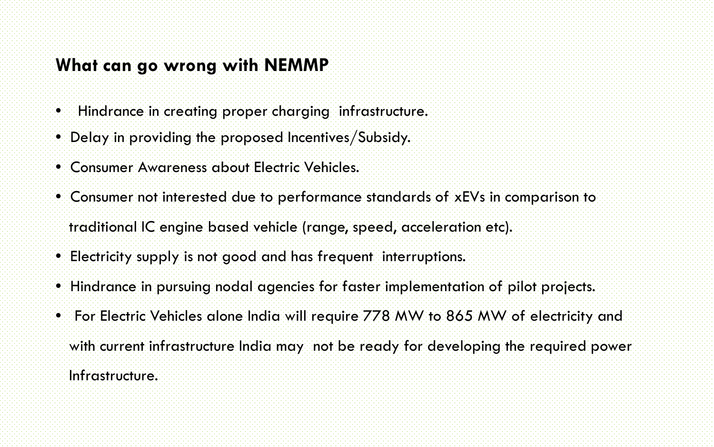#### **What can go wrong with NEMMP**

- Hindrance in creating proper charging infrastructure.
- Delay in providing the proposed Incentives/Subsidy.
- Consumer Awareness about Electric Vehicles.
- Consumer not interested due to performance standards of xEVs in comparison to
- traditional IC engine based vehicle (range, speed, acceleration etc).
- Electricity supply is not good and has frequent interruptions.
- Hindrance in pursuing nodal agencies for faster implementation of pilot projects.
- For Electric Vehicles alone India will require 778 MW to 865 MW of electricity and with current infrastructure India may not be ready for developing the required power Infrastructure.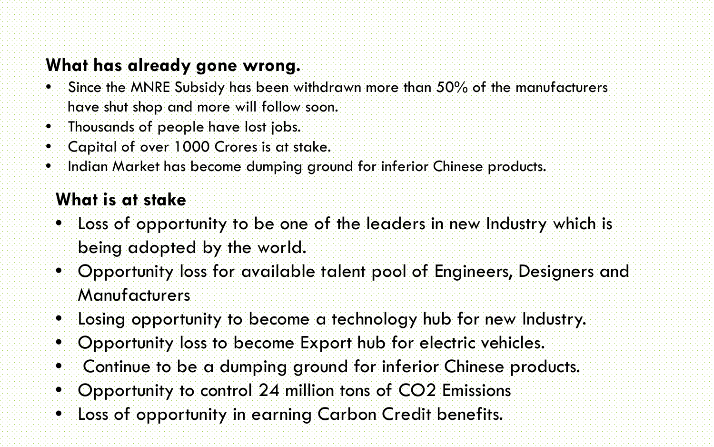#### **What has already gone wrong.**

- Since the MNRE Subsidy has been withdrawn more than 50% of the manufacturers have shut shop and more will follow soon.
- Thousands of people have lost jobs.
- Capital of over 1000 Crores is at stake.
- Indian Market has become dumping ground for inferior Chinese products.

#### **What is at stake**

- Loss of opportunity to be one of the leaders in new Industry which is being adopted by the world.
- Opportunity loss for available talent pool of Engineers, Designers and **Manufacturers**
- Losing opportunity to become a technology hub for new Industry.
- Opportunity loss to become Export hub for electric vehicles.
- Continue to be a dumping ground for inferior Chinese products.
- Opportunity to control 24 million tons of CO2 Emissions
- Loss of opportunity in earning Carbon Credit benefits.